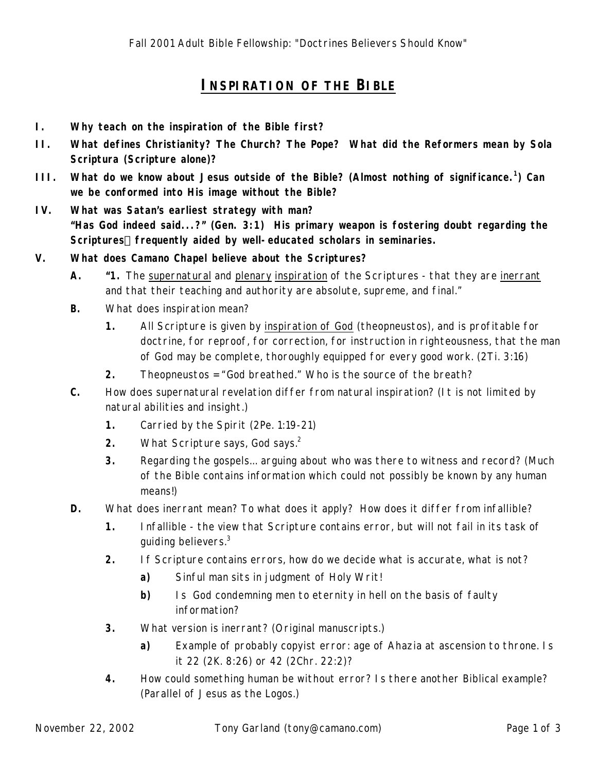# **I**NSPIRATION OF THE BIBLE

- **I. Why teach on the inspiration of the Bible first?**
- **II. What defines Christianity? The Church? The Pope? What did the Reformers mean by** *Sola Scriptura* **(Scripture alone)***?*
- **III. What do we know about Jesus outside of the Bible? (Almost nothing of significance.<sup>1</sup> ) Can we be conformed into His image without the Bible?**
- **IV. What was Satan's earliest strategy with man? "Has God indeed said...?" (Gen. 3:1) His primary weapon is fostering** *doubt* **regarding the Scriptures¾ frequently aided by well-educated scholars in seminaries.**
- **V. What does Camano Chapel believe about the Scriptures?**
	- **A. "1.** The supernatural and plenary inspiration of the Scriptures that they are inerrant and that their teaching and authority are absolute, supreme, and final."
	- **B.** What does *inspiration* mean?
		- **1.** All Scripture *is* given by inspiration of God (theopneustos), and *is* profitable for doctrine, for reproof, for correction, for instruction in righteousness, that the man of God may be complete, thoroughly equipped for every good work. (2Ti. 3:16)
		- **2.** Theopneustos = "God breathed." Who is the source of the breath?
	- **C.** How does *supernatural* revelation differ from *natural* inspiration? (It is not limited by natural abilities and insight.)
		- **1.** Carried by the Spirit (2Pe. 1:19-21)
		- **2.** What Scripture says, God says.<sup>2</sup>
		- **3.** Regarding the gospels... arguing about who was there to witness and record? (Much of the Bible contains information which could not possibly be known by *any* human means!)
	- **D.** What does *inerrant* mean? To what does it apply? How does it differ from *infallible?*
		- **1.** Infallible the view that Scripture contains error, but will not fail in its task of guiding believers.<sup>3</sup>
		- **2.** If Scripture contains errors, how do we decide what is accurate, what is not?
			- **a)** Sinful man sits in judgment of Holy Writ!
			- **b)** Is God condemning men to eternity in hell on the basis of faulty information?
		- **3.** What version is inerrant? (Original manuscripts.)
			- **a)** Example of probably copyist error: age of Ahazia at ascension to throne. Is it 22 (2K. 8:26) or 42 (2Chr. 22:2)?
		- **4.** How could something human be without error? Is there another Biblical example? (Parallel of Jesus as the Logos.)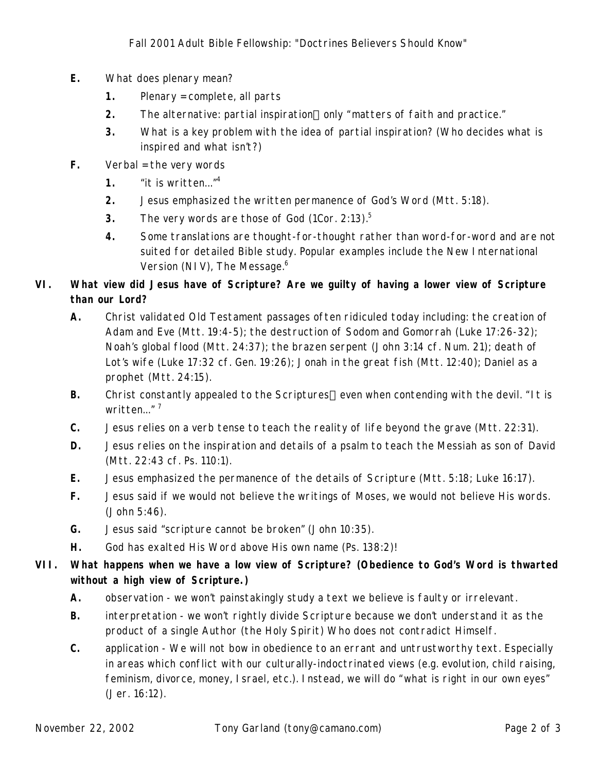- **E.** What does *plenary* mean?
	- **1.** Plenary = complete, all parts
	- **2.** The alternative: partial inspiration—only "matters of faith and practice."
	- **3.** What is a key problem with the idea of partial inspiration? (Who decides what is inspired and what isn't?)
- **F.** Verbal = the *very words*
	- **1.** "it is written..."<sup>4</sup>
	- **2.** Jesus emphasized the *written* permanence of God's Word (Mtt. 5:18).
	- **3.** The very *words* are those of God (1Cor. 2:13).<sup>5</sup>
	- **4.** Some translations are thought-for-thought rather than word-for-word and are not suited for detailed Bible study. Popular examples include the *New International Version (NIV)*, *The Message.<sup>6</sup>*

## **VI. What view did Jesus have of Scripture? Are we guilty of having a lower view of Scripture than our Lord?**

- **A.** Christ validated Old Testament passages often ridiculed today including: the creation of Adam and Eve (Mtt. 19:4-5); the destruction of Sodom and Gomorrah (Luke 17:26-32); Noah's global flood (Mtt. 24:37); the brazen serpent (John 3:14 cf. Num. 21); death of Lot's wife (Luke 17:32 cf. Gen. 19:26); Jonah in the great fish (Mtt. 12:40); Daniel as a prophet (Mtt. 24:15).
- **B.** Christ constantly appealed to the Scriptures—even when contending with the devil. "It is written..." $<sup>7</sup>$ </sup>
- **C.** Jesus relies on a verb tense to teach the reality of life beyond the grave (Mtt. 22:31).
- **D.** Jesus relies on the inspiration and details of a psalm to teach the Messiah as son of David (Mtt. 22:43 cf. Ps. 110:1).
- **E.** Jesus emphasized the permanence of the details of Scripture (Mtt. 5:18; Luke 16:17).
- **F.** Jesus said if we would not believe the *writings* of Moses, we would not believe His words. (John 5:46).
- **G.** Jesus said "scripture cannot be broken" (John 10:35).
- **H.** God has exalted His Word above His own name (Ps. 138:2)!

## **VII. What happens when we have a low view of Scripture? (Obedience to God's Word is thwarted without a high view of Scripture.)**

- **A.** observation we won't painstakingly study a text we believe is faulty or irrelevant.
- **B.** interpretation we won't rightly divide Scripture because we don't understand it as the product of a single Author (the Holy Spirit) Who does not contradict Himself.
- **C.** application We will not bow in obedience to an errant and untrustworthy text. Especially in areas which conflict with our culturally-indoctrinated views (e.g. evolution, child raising, feminism, divorce, money, Israel, etc.). Instead, we will do "what is right in our own eyes" (Jer. 16:12).